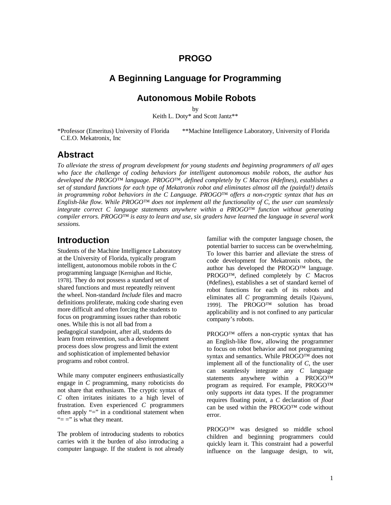### **PROGO**

### **A Beginning Language for Programming**

### **Autonomous Mobile Robots**

by

Keith L. Doty\* and Scott Jantz\*\*

C.E.O. Mekatronix, Inc

\*Professor (Emeritus) University of Florida \*\*Machine Intelligence Laboratory, University of Florida

### **Abstract**

*To alleviate the stress of program development for young students and beginning programmers of all ages who face the challenge of coding behaviors for intelligent autonomous mobile robots, the author has developed the PROGO™ language. PROGO™, defined completely by C Macros (#defines), establishes a set of standard functions for each type of Mekatronix robot and eliminates almost all the (painful!) details in programming robot behaviors in the C Language. PROGO™ offers a non-cryptic syntax that has an English-like flow. While PROGO™ does not implement all the functionality of C, the user can seamlessly integrate correct C language statements anywhere within a PROGO™ function without generating compiler errors. PROGO™ is easy to learn and use, six graders have learned the language in several work sessions.*

### **Introduction**

Students of the Machine Intelligence Laboratory at the University of Florida, typically program intelligent, autonomous mobile robots in the *C* programming language [Kernighan and Richie, 1978]. They do not possess a standard set of shared functions and must repeatedly reinvent the wheel. Non-standard *Include* files and macro definitions proliferate, making code sharing even more difficult and often forcing the students to focus on programming issues rather than robotic ones. While this is not all bad from a pedagogical standpoint, after all, students do learn from reinvention, such a development process does slow progress and limit the extent and sophistication of implemented behavior programs and robot control.

While many computer engineers enthusiastically engage in *C* programming, many roboticists do not share that enthusiasm. The cryptic syntax of *C* often irritates initiates to a high level of frustration. Even experienced *C* programmers often apply "=" in a conditional statement when " $=$  =" is what they meant.

The problem of introducing students to robotics carries with it the burden of also introducing a computer language. If the student is not already familiar with the computer language chosen, the potential barrier to success can be overwhelming. To lower this barrier and alleviate the stress of code development for Mekatronix robots, the author has developed the PROGO™ language. PROGO™, defined completely by *C* Macros (#defines), establishes a set of standard kernel of robot functions for each of its robots and eliminates all *C* programming details [Qaiyumi, 1999]. The PROGO™ solution has broad applicability and is not confined to any particular company's robots.

PROGO™ offers a non-cryptic syntax that has an English-like flow, allowing the programmer to focus on robot behavior and not programming syntax and semantics. While PROGO™ does not implement all of the functionality of *C,* the user can seamlessly integrate any *C* language statements anywhere within a PROGO™ program as required. For example, PROGO™ only supports *int* data types. If the programmer requires floating point, a *C* declaration of *float* can be used within the PROGO™ code without error.

PROGO™ was designed so middle school children and beginning programmers could quickly learn it. This constraint had a powerful influence on the language design, to wit,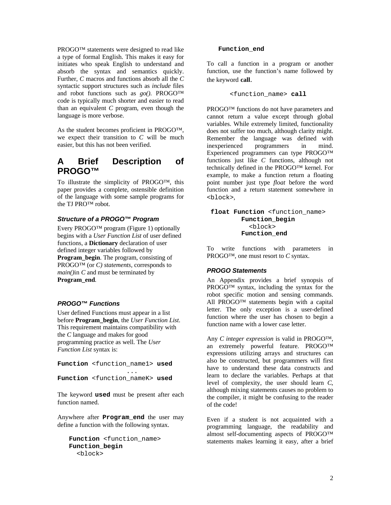PROGO™ statements were designed to read like a type of formal English. This makes it easy for initiates who speak English to understand and absorb the syntax and semantics quickly. Further, *C* macros and functions absorb all the *C* syntactic support structures such as *include* files and robot functions such as *go()*. PROGO™ code is typically much shorter and easier to read than an equivalent *C* program, even though the language is more verbose.

As the student becomes proficient in PROGO™, we expect their transition to *C* will be much easier, but this has not been verified.

## **A Brief Description of PROGO™**

To illustrate the simplicity of PROGO™, this paper provides a complete, ostensible definition of the language with some sample programs for the TJ PRO™ robot.

#### *Structure of a PROGO™ Program*

Every PROGO™ program (Figure 1) optionally begins with a *User Function List* of user defined functions, a **Dictionary** declaration of user defined integer variables followed by **Program** begin. The program, consisting of PROGO™ (or *C) statements,* corresponds to *main()*in *C* and must be terminated by **Program\_end***.*

#### *PROGO™ Functions*

User defined Functions must appear in a list before **Program\_begin**, the *User Function List*. This requirement maintains compatibility with the *C* language and makes for good programming practice as well. The *User Function List* syntax is:

```
Function <function_name1> used
 ...
```
**Function** <function\_nameK> **used**

The keyword **used** must be present after each function named.

Anywhere after **Program\_end** the user may define a function with the following syntax.

 **Function** <function\_name> **Function\_begin** <block>

#### **Function\_end**

To call a function in a program or another function, use the function's name followed by the keyword **call**.

```
<function_name> call
```
PROGO™ functions do not have parameters and cannot return a value except through global variables. While extremely limited, functionality does not suffer too much, although clarity might. Remember the language was defined with inexperienced programmers in mind. inexperienced programmers in mind. Experienced programmers can type PROGO™ functions just like *C* functions, although not technically defined in the PROGO™ kernel. For example, to make a function return a floating point number just type *float* before the word function and a return statement somewhere in <block>,

**float Function** <function\_name> **Function\_begin** <block> **Function\_end**

To write functions with parameters in PROGO™, one must resort to *C* syntax.

#### *PROGO Statements*

An Appendix provides a brief synopsis of PROGO™ syntax, including the syntax for the robot specific motion and sensing commands. All PROGO™ statements begin with a capital letter. The only exception is a user-defined function where the user has chosen to begin a function name with a lower case letter.

Any *C integer expression* is valid in PROGO™, an extremely powerful feature. PROGO™ expressions utilizing arrays and structures can also be constructed, but programmers will first have to understand these data constructs and learn to declare the variables. Perhaps at that level of complexity, the user should learn *C*, although mixing statements causes no problem to the compiler, it might be confusing to the reader of the code!

Even if a student is not acquainted with a programming language, the readability and almost self-documenting aspects of PROGO™ statements makes learning it easy, after a brief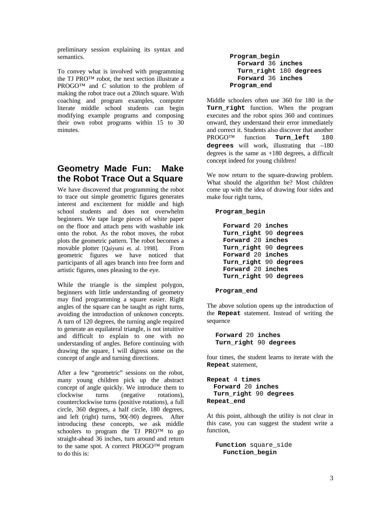preliminary session explaining its syntax and semantics.

To convey what is involved with programming the TJ PRO™ robot, the next section illustrate a PROGO™ and *C* solution to the problem of making the robot trace out a 20inch square. With coaching and program examples, computer literate middle school students can begin modifying example programs and composing their own robot programs within 15 to 30 minutes.

## **Geometry Made Fun: Make the Robot Trace Out a Square**

We have discovered that programming the robot to trace out simple geometric figures generates interest and excitement for middle and high school students and does not overwhelm beginners. We tape large pieces of white paper on the floor and attach pens with washable ink onto the robot. As the robot moves, the robot plots the geometric pattern. The robot becomes a movable plotter [Qaiyumi et. al. 1998]. From geometric figures we have noticed that participants of all ages branch into free form and artistic figures, ones pleasing to the eye.

While the triangle is the simplest polygon, beginners with little understanding of geometry may find programming a square easier. Right angles of the square can be taught as right turns, avoiding the introduction of unknown concepts. A turn of 120 degrees, the turning angle required to generate an equilateral triangle, is not intuitive and difficult to explain to one with no understanding of angles. Before continuing with drawing the square, I will digress some on the concept of angle and turning directions.

After a few "geometric" sessions on the robot, many young children pick up the abstract concept of angle quickly. We introduce them to clockwise turns (negative rotations), counterclockwise turns (positive rotations), a full circle, 360 degrees, a half circle, 180 degrees, and left (right) turns, 90(-90) degrees. After introducing these concepts, we ask middle schoolers to program the TJ PRO™ to go straight-ahead 36 inches, turn around and return to the same spot. A correct PROGO™ program to do this is:

```
Program_begin
   Forward 36 inches
   Turn_right 180 degrees
   Forward 36 inches
 Program_end
```
Middle schoolers often use 360 for 180 in the **Turn\_right** function. When the program executes and the robot spins 360 and continues onward, they understand their error immediately and correct it. Students also discover that another PROGO™ function **Turn\_left** 180 **degrees** will work, illustrating that –180 degrees is the same as  $+180$  degrees, a difficult concept indeed for young children!

We now return to the square-drawing problem. What should the algorithm be? Most children come up with the idea of drawing four sides and make four right turns,

#### **Program\_begin**

```
 Forward 20 inches
 Turn_right 90 degrees
 Forward 20 inches
 Turn_right 90 degrees
 Forward 20 inches
 Turn_right 90 degrees
 Forward 20 inches
 Turn_right 90 degrees
```
**Program\_end**

The above solution opens up the introduction of the **Repeat** statement. Instead of writing the sequence

```
Forward 20 inches
Turn_right 90 degrees
```
four times, the student learns to iterate with the **Repeat** statement,

**Repeat** 4 **times Forward** 20 **inches Turn\_right** 90 **degrees Repeat\_end**

At this point, although the utility is not clear in this case, you can suggest the student write a function,

```
Function square side
   Function_begin
```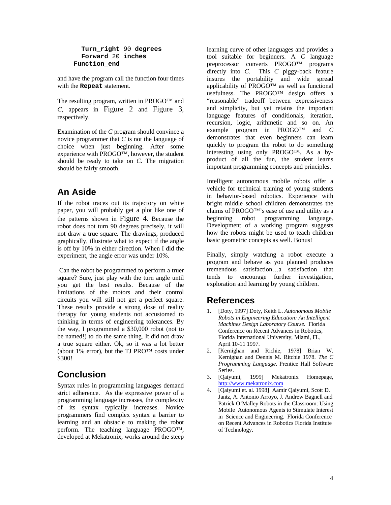**Turn\_right** 90 **degrees Forward** 20 **inches Function\_end**

and have the program call the function four times with the **Repeat** statement.

The resulting program, written in PROGO™ and *C*, appears in Figure 2 and Figure 3, respectively.

Examination of the *C* program should convince a novice programmer that *C* is not the language of choice when just beginning. After some experience with PROGO™, however, the student should be ready to take on *C*. The migration should be fairly smooth.

## **An Aside**

If the robot traces out its trajectory on white paper, you will probably get a plot like one of the patterns shown in Figure 4. Because the robot does not turn 90 degrees precisely, it will not draw a true square. The drawings, produced graphically, illustrate what to expect if the angle is off by 10% in either direction. When I did the experiment, the angle error was under 10%.

 Can the robot be programmed to perform a truer square? Sure, just play with the turn angle until you get the best results. Because of the limitations of the motors and their control circuits you will still not get a perfect square. These results provide a strong dose of reality therapy for young students not accustomed to thinking in terms of engineering tolerances. By the way, I programmed a \$30,000 robot (not to be named!) to do the same thing. It did not draw a true square either. Ok, so it was a lot better (about 1% error), but the TJ PRO™ costs under \$300!

# **Conclusion**

Syntax rules in programming languages demand strict adherence. As the expressive power of a programming language increases, the complexity of its syntax typically increases. Novice programmers find complex syntax a barrier to learning and an obstacle to making the robot perform. The teaching language PROGO™, developed at Mekatronix, works around the steep

learning curve of other languages and provides a tool suitable for beginners. A *C* language preprocessor converts PROGO™ programs directly into *C*. This *C* piggy-back feature insures the portability and wide spread applicability of PROGO™ as well as functional usefulness. The PROGO™ design offers a "reasonable" tradeoff between expressiveness and simplicity, but yet retains the important language features of conditionals, iteration, recursion, logic, arithmetic and so on. An example program in PROGO™ and *C* demonstrates that even beginners can learn quickly to program the robot to do something interesting using only PROGO™. As a byproduct of all the fun, the student learns important programming concepts and principles.

Intelligent autonomous mobile robots offer a vehicle for technical training of young students in behavior-based robotics. Experience with bright middle school children demonstrates the claims of PROGO™'s ease of use and utility as a beginning robot programming language. Development of a working program suggests how the robots might be used to teach children basic geometric concepts as well. Bonus!

Finally, simply watching a robot execute a program and behave as you planned produces tremendous satisfaction…a satisfaction that tends to encourage further investigation, exploration and learning by young children.

## **References**

- 1. [Doty, 1997] Doty, Keith L. *Autonomous Mobile Robots in Engineering Education: An Intelligent Machines Design Laboratory Course.* Florida Conference on Recent Advances in Robotics, Florida International University, Miami, FL, April 10-11 1997.
- 2. [Kernighan and Richie, 1978] Brian W. Kernighan and Dennis M. Ritchie 1978. *The C Programming Language*. Prentice Hall Software Series.
- 3. [Qaiyumi, 1999] Mekatronix Homepage, http://www.mekatronix.com
- 4. [Qaiyumi et. al. 1998] Aamir Qaiyumi, Scott D. Jantz, A. Antonio Arroyo, J. Andrew Bagnell and Patrick O'Malley Robots in the Classroom: Using Mobile Autonomous Agents to Stimulate Interest in Science and Engineering. Florida Conference on Recent Advances in Robotics Florida Institute of Technology.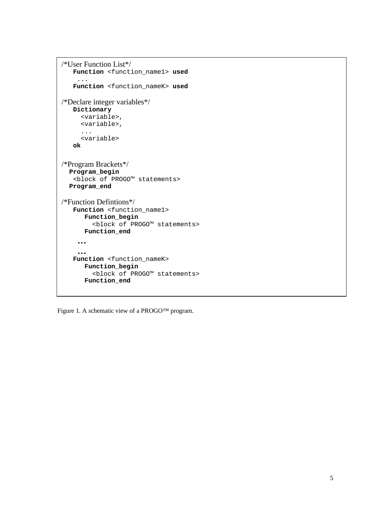```
/*User Function List*/
    Function <function_name1> used
     ...
    Function <function_nameK> used
/*Declare integer variables*/
    Dictionary
      <variable>,
      <variable>,
      ...
      <variable>
    ok
/*Program Brackets*/
   Program_begin
    <block of PROGO™ statements>
   Program_end
/*Function Defintions*/
    Function <function_name1>
       Function_begin
          <block of PROGO™ statements>
       Function_end
     …
     …
    Function <function_nameK>
       Function_begin
          <block of PROGO™ statements>
       Function_end
```
Figure 1. A schematic view of a PROGO™ program.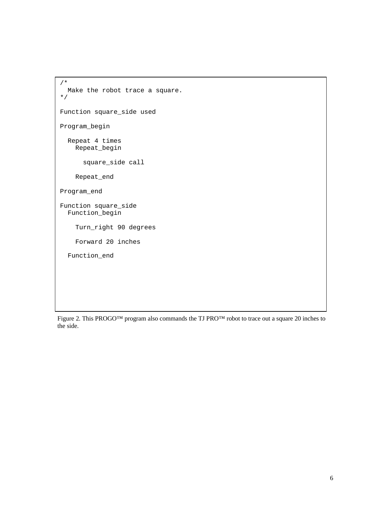```
/*
   Make the robot trace a square.
*/
Function square_side used
Program_begin
   Repeat 4 times
     Repeat_begin
       square_side call
     Repeat_end
Program_end
Function square_side
   Function_begin
     Turn_right 90 degrees
     Forward 20 inches
   Function_end
```
Figure 2. This PROGO™ program also commands the TJ PRO™ robot to trace out a square 20 inches to the side.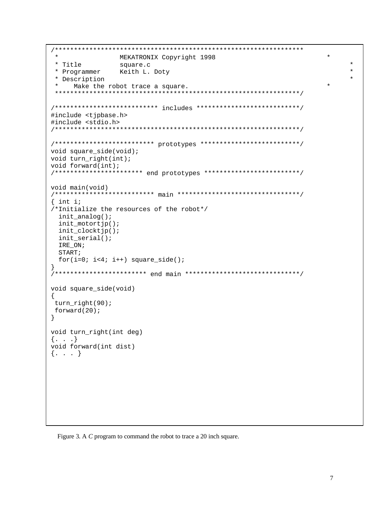```
/*****************************************************************
 * MEKATRONIX Copyright 1998 *
 * Title square.c *
 * Programmer Keith L. Doty *
 * Description *
    Make the robot trace a square.
 ****************************************************************/
/*************************** includes ***************************/
#include <tjpbase.h>
#include <stdio.h>
/****************************************************************/
/************************** prototypes **************************/
void square side(void);
void turn_right(int);
void forward(int);
/*********************** end prototypes *************************/
void main(void)
/************************** main ********************************/
\{ int i;
/*Initialize the resources of the robot*/
  init_analog();
  init_motortjp();
  init_clocktjp();
  init_serial();
  IRE_ON;
  START;
 for(i=0; i<4; i++) square_side();
}
/************************ end main ******************************/
void square_side(void)
{
 turn_right(90);
 forward(20);
}
void turn_right(int deg)
\{\ .\ \ .\ \ .\}void forward(int dist)
\{\cdot \cdot \cdot \}
```
Figure 3. A *C* program to command the robot to trace a 20 inch square.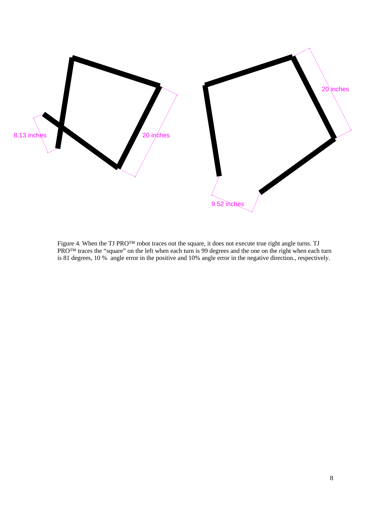

Figure 4. When the TJ PRO™ robot traces out the square, it does not execute true right angle turns. TJ PRO™ traces the "square" on the left when each turn is 99 degrees and the one on the right when each turn is 81 degrees, 10 % angle error in the positive and 10% angle error in the negative direction., respectively.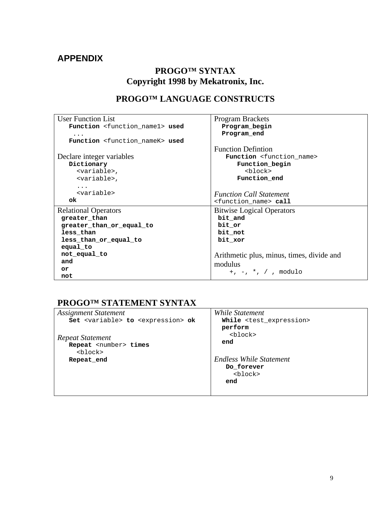# **APPENDIX**

# **PROGO™ SYNTAX Copyright 1998 by Mekatronix, Inc.**

# **PROGO™ LANGUAGE CONSTRUCTS**

| <b>User Function List</b>                       | Program Brackets                            |  |
|-------------------------------------------------|---------------------------------------------|--|
| Function <function_name1> used</function_name1> | Program_begin                               |  |
|                                                 | Program end                                 |  |
| Function <function_namek> used</function_namek> |                                             |  |
|                                                 | <b>Function Defintion</b>                   |  |
| Declare integer variables                       | Function <function_name></function_name>    |  |
| Dictionary                                      | Function_begin                              |  |
| <variable>,</variable>                          | <block></block>                             |  |
| <variable>,</variable>                          | Function end                                |  |
| $\cdots$                                        |                                             |  |
| <variable></variable>                           | <b>Function Call Statement</b>              |  |
|                                                 |                                             |  |
| ok                                              | <function name=""> call</function>          |  |
|                                                 |                                             |  |
| <b>Relational Operators</b><br>greater_than     | <b>Bitwise Logical Operators</b><br>bit_and |  |
| greater than or equal to                        | bit or                                      |  |
| less than                                       | bit_not                                     |  |
| less than or equal to                           | bit_xor                                     |  |
| equal to                                        |                                             |  |
| not_equal_to                                    |                                             |  |
| and                                             | Arithmetic plus, minus, times, divide and   |  |
| or                                              | modulus<br>+, -, *, / , modulo              |  |

# **PROGO™ STATEMENT SYNTAX**

| <b>Assignment Statement</b>                               | <i>While Statement</i>                    |  |  |
|-----------------------------------------------------------|-------------------------------------------|--|--|
| Set <variable> to <expression> ok</expression></variable> | While <test_expression></test_expression> |  |  |
|                                                           | perform                                   |  |  |
| Repeat Statement                                          | <block></block>                           |  |  |
| Repeat <number> times</number>                            | end                                       |  |  |
| <block></block>                                           |                                           |  |  |
| Repeat end                                                | <b>Endless While Statement</b>            |  |  |
|                                                           | Do forever                                |  |  |
|                                                           | <block></block>                           |  |  |
|                                                           | end                                       |  |  |
|                                                           |                                           |  |  |